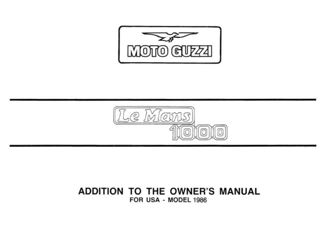



## ADDITION TO THE OWNER'S MANUAL **FOR USA · MODEL 1986**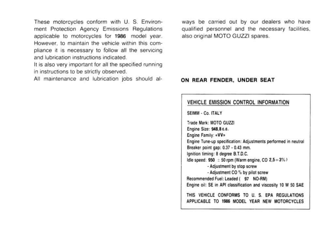These motorcycles conform with U. S. Environment Protection Agency Emissions Regulations applicable to motorcycles for 1986 model year. However, to maintain the vehicle within this compliance it is necessary to follow all the servicing and lubrication instructions indicated.

It is also very important for all the specified running in instructions to be strictly observed.

All maintenance and lubrication jobs should al-

ways be carried out by our dealers who have qualified personnel and the necessary facilities, also original MOTO GUZZI spares.

#### ON REAR FENDER. UNDER SEAT

### VEHICLE EMISSION CONTROL INFORMATION

SEIMM - Co. ITALY

Trade Mark: MOTO GUZZI Engine Size: 948.8 c.c. Engine Family: «VV» Engine Tune-up specification: Adjustments performed in neutral Breaker point gap: 0.37 - 0.43 mm. lgnition timing: 8 degree B.T.D.C. Idle speed:  $950 \pm 50$  rpm (Warm engine, CO 2,5 + 3%) - Adjustment by stop screw - Adjustment CO % by pilot screw Recommended Fuel: Leaded ( 97 NO-RM) Engine oil: SE in API classification and viscosity 10 W 50 SAE THIS VEHICLE CONFORMS TO U. S. EPA REGULATIONS APPLICABLE TO 1986 MODEL YEAR NEW MOTORCYCLES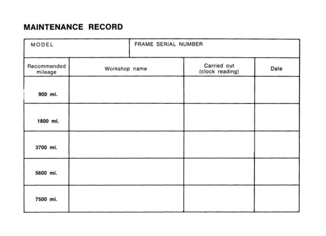# MAINTENANCE RECORD

| MODEL                  | FRAME SERIAL NUMBER |                                |      |
|------------------------|---------------------|--------------------------------|------|
| Recommended<br>mileage | Workshop name       | Carried out<br>(clock reading) | Date |
| 900 mi.                |                     |                                |      |
| 1800 mi.               |                     |                                |      |
| 3700 mi.               |                     |                                |      |
| 5600 mi.               |                     |                                |      |
| 7500 mi.               |                     |                                |      |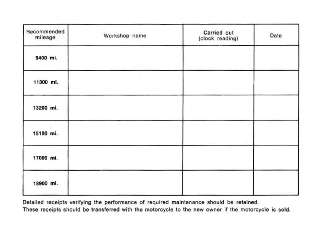| Recommended<br>mileage | Workshop name | Carried out<br>(clock reading) | Date |
|------------------------|---------------|--------------------------------|------|
| 9400 mi.               |               |                                |      |
| 11300 mi.              | ×             |                                |      |
| 13200 mi.              |               |                                |      |
| 15100 mi.              |               |                                |      |
| 17000 mi.              |               |                                |      |
| 18900 mi.              |               |                                |      |

Detailed receipts verifying the performance of required maintenance should be retained.

These receipts should be transferred with the motorcycle to the new owner if the motorcycle is sold.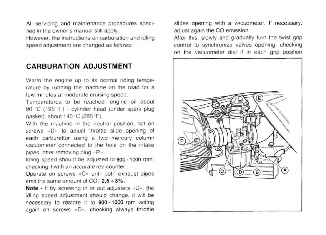All servicing and maintenance procedures specified in the owner's manual still apply.

However, the instructions on carburation and idling speed adjustment are changed as follows:

### **CARBURATION ADJUSTMENT**

Warm the engine up to its normal riding temperature by running the machine on the road for a few minutes at moderate cruising speed.

Temperatures to be reached: engine oil about 90 °C (195 °F) - cylinder head (under spark plug qasket): about 140 °C (285 °F).

With the machine in the neutral position, act on screws «D» to adjust throttle slide opening of each carburettor using a two-mercury column vacuometer connected to the hole on the intake pipes, after removing plug «P».

Idling speed should be adjusted to 900 - 1000 rpm. checking it with an accurate rev-counter.

Operate on screws «C» until both exhaust pipes emit the same amount of  $CO: 2.5 \div 3\%$ .

Note - If by screwing in or out adjusters «C», the idling speed adjustment should change, it will be necessary to restore it to 900-1000 rpm acting again on screws «D», checking always throttle slides opening with a vacuometer. If necessary, adjust again the CO emission.

After this, slowly and gradually turn the twist grip control to synchronize valves opening, checking on the vacuometer dial if in each grip position

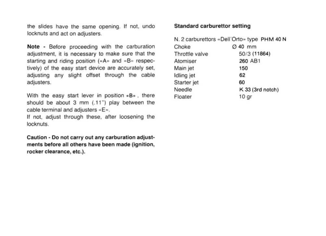the slides have the same opening. If not, undo locknuts and act on adjusters.

Note - Before proceeding with the carburation adjustment, it is necessary to make sure that the starting and riding position  $(*A)$  and  $*B$ <sup>n</sup> respectively) of the easy start device are accurately set, adjusting any slight offset through the cable adjusters.

With the easy start lever in position  $\alpha$ B<sup>\*</sup>, there should be about  $3 \text{ mm}$  (.11") play between the cable terminal and adjusters «E».

If not, adjust through these, after loosening the locknuts.

Caution - Do not carry out any carburation adjustments before all others have been made (ignition, rocker clearance, etc.).

### Standard carburettor setting

|                | N. 2 carburettors «Dell'Orto» type PHM 40 N |  |
|----------------|---------------------------------------------|--|
| Choke          | Ø 40 mm                                     |  |
| Throttle valve | 50/3 (11864)                                |  |
| Atomiser       | 260 AB1                                     |  |
| Main jet       | 150                                         |  |
| Idling jet     | 62                                          |  |
| Starter jet    | 60                                          |  |
| Needle         | K 33 (3rd notch)                            |  |
| Floater        | 10 <sub>qr</sub>                            |  |
|                |                                             |  |